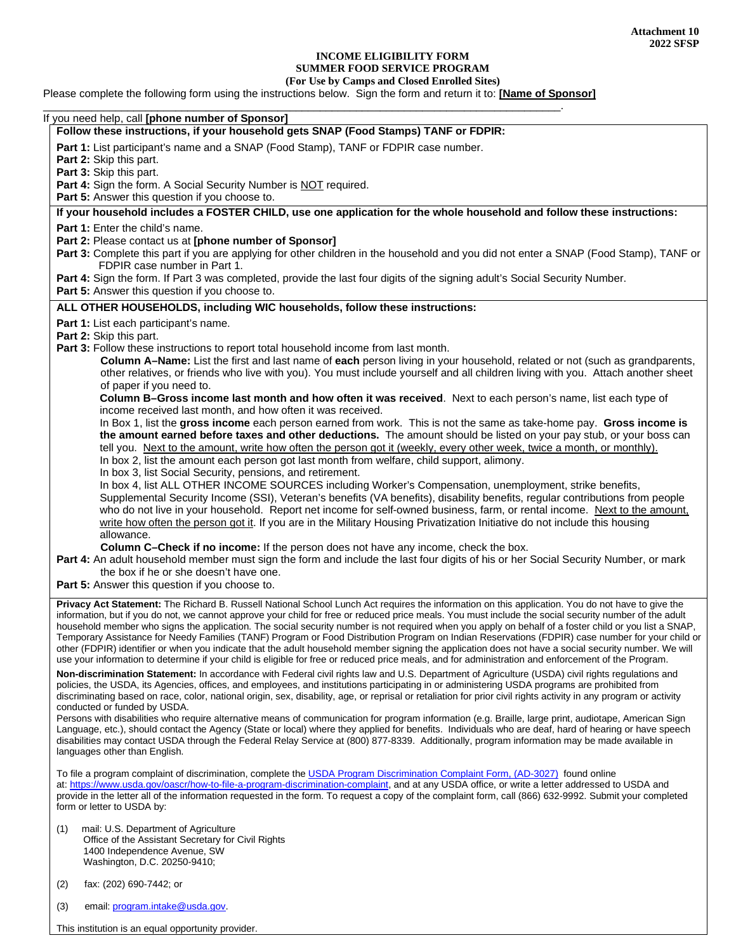## **INCOME ELIGIBILITY FORM SUMMER FOOD SERVICE PROGRAM**

## **(For Use by Camps and Closed Enrolled Sites)**

Please complete the following form using the instructions below. Sign the form and return it to: **[Name of Sponsor]**

|                                                                                                                                                                                                                                                                                                                                                                                                                                                                     | If you need help, call [phone number of Sponsor]                                                                                                                                                                                                                                                                                                                                                                                                                                                                                                                                                                                                                                                                                                                                                                                                                                                                                         |  |  |  |  |  |
|---------------------------------------------------------------------------------------------------------------------------------------------------------------------------------------------------------------------------------------------------------------------------------------------------------------------------------------------------------------------------------------------------------------------------------------------------------------------|------------------------------------------------------------------------------------------------------------------------------------------------------------------------------------------------------------------------------------------------------------------------------------------------------------------------------------------------------------------------------------------------------------------------------------------------------------------------------------------------------------------------------------------------------------------------------------------------------------------------------------------------------------------------------------------------------------------------------------------------------------------------------------------------------------------------------------------------------------------------------------------------------------------------------------------|--|--|--|--|--|
|                                                                                                                                                                                                                                                                                                                                                                                                                                                                     | Follow these instructions, if your household gets SNAP (Food Stamps) TANF or FDPIR:                                                                                                                                                                                                                                                                                                                                                                                                                                                                                                                                                                                                                                                                                                                                                                                                                                                      |  |  |  |  |  |
|                                                                                                                                                                                                                                                                                                                                                                                                                                                                     | Part 1: List participant's name and a SNAP (Food Stamp), TANF or FDPIR case number.<br>Part 2: Skip this part.<br>Part 3: Skip this part.                                                                                                                                                                                                                                                                                                                                                                                                                                                                                                                                                                                                                                                                                                                                                                                                |  |  |  |  |  |
| Part 4: Sign the form. A Social Security Number is NOT required.<br><b>Part 5:</b> Answer this question if you choose to.                                                                                                                                                                                                                                                                                                                                           |                                                                                                                                                                                                                                                                                                                                                                                                                                                                                                                                                                                                                                                                                                                                                                                                                                                                                                                                          |  |  |  |  |  |
|                                                                                                                                                                                                                                                                                                                                                                                                                                                                     | If your household includes a FOSTER CHILD, use one application for the whole household and follow these instructions:                                                                                                                                                                                                                                                                                                                                                                                                                                                                                                                                                                                                                                                                                                                                                                                                                    |  |  |  |  |  |
|                                                                                                                                                                                                                                                                                                                                                                                                                                                                     | <b>Part 1:</b> Enter the child's name.                                                                                                                                                                                                                                                                                                                                                                                                                                                                                                                                                                                                                                                                                                                                                                                                                                                                                                   |  |  |  |  |  |
| Part 2: Please contact us at [phone number of Sponsor]<br>Part 3: Complete this part if you are applying for other children in the household and you did not enter a SNAP (Food Stamp), TANF or<br>FDPIR case number in Part 1.                                                                                                                                                                                                                                     |                                                                                                                                                                                                                                                                                                                                                                                                                                                                                                                                                                                                                                                                                                                                                                                                                                                                                                                                          |  |  |  |  |  |
| Part 4: Sign the form. If Part 3 was completed, provide the last four digits of the signing adult's Social Security Number.<br>Part 5: Answer this question if you choose to.                                                                                                                                                                                                                                                                                       |                                                                                                                                                                                                                                                                                                                                                                                                                                                                                                                                                                                                                                                                                                                                                                                                                                                                                                                                          |  |  |  |  |  |
|                                                                                                                                                                                                                                                                                                                                                                                                                                                                     | ALL OTHER HOUSEHOLDS, including WIC households, follow these instructions:                                                                                                                                                                                                                                                                                                                                                                                                                                                                                                                                                                                                                                                                                                                                                                                                                                                               |  |  |  |  |  |
|                                                                                                                                                                                                                                                                                                                                                                                                                                                                     | Part 1: List each participant's name.<br>Part 2: Skip this part.<br>Part 3: Follow these instructions to report total household income from last month.                                                                                                                                                                                                                                                                                                                                                                                                                                                                                                                                                                                                                                                                                                                                                                                  |  |  |  |  |  |
|                                                                                                                                                                                                                                                                                                                                                                                                                                                                     | Column A-Name: List the first and last name of each person living in your household, related or not (such as grandparents,<br>other relatives, or friends who live with you). You must include yourself and all children living with you. Attach another sheet<br>of paper if you need to.                                                                                                                                                                                                                                                                                                                                                                                                                                                                                                                                                                                                                                               |  |  |  |  |  |
|                                                                                                                                                                                                                                                                                                                                                                                                                                                                     | Column B-Gross income last month and how often it was received. Next to each person's name, list each type of<br>income received last month, and how often it was received.                                                                                                                                                                                                                                                                                                                                                                                                                                                                                                                                                                                                                                                                                                                                                              |  |  |  |  |  |
| In Box 1, list the gross income each person earned from work. This is not the same as take-home pay. Gross income is<br>the amount earned before taxes and other deductions. The amount should be listed on your pay stub, or your boss can<br>tell you. Next to the amount, write how often the person got it (weekly, every other week, twice a month, or monthly).<br>In box 2, list the amount each person got last month from welfare, child support, alimony. |                                                                                                                                                                                                                                                                                                                                                                                                                                                                                                                                                                                                                                                                                                                                                                                                                                                                                                                                          |  |  |  |  |  |
|                                                                                                                                                                                                                                                                                                                                                                                                                                                                     | In box 3, list Social Security, pensions, and retirement.<br>In box 4, list ALL OTHER INCOME SOURCES including Worker's Compensation, unemployment, strike benefits,<br>Supplemental Security Income (SSI), Veteran's benefits (VA benefits), disability benefits, regular contributions from people                                                                                                                                                                                                                                                                                                                                                                                                                                                                                                                                                                                                                                     |  |  |  |  |  |
|                                                                                                                                                                                                                                                                                                                                                                                                                                                                     | who do not live in your household. Report net income for self-owned business, farm, or rental income. Next to the amount,<br>write how often the person got it. If you are in the Military Housing Privatization Initiative do not include this housing<br>allowance.                                                                                                                                                                                                                                                                                                                                                                                                                                                                                                                                                                                                                                                                    |  |  |  |  |  |
|                                                                                                                                                                                                                                                                                                                                                                                                                                                                     | Column C-Check if no income: If the person does not have any income, check the box.<br>Part 4: An adult household member must sign the form and include the last four digits of his or her Social Security Number, or mark                                                                                                                                                                                                                                                                                                                                                                                                                                                                                                                                                                                                                                                                                                               |  |  |  |  |  |
|                                                                                                                                                                                                                                                                                                                                                                                                                                                                     | the box if he or she doesn't have one.<br>Part 5: Answer this question if you choose to.                                                                                                                                                                                                                                                                                                                                                                                                                                                                                                                                                                                                                                                                                                                                                                                                                                                 |  |  |  |  |  |
|                                                                                                                                                                                                                                                                                                                                                                                                                                                                     | Privacy Act Statement: The Richard B. Russell National School Lunch Act requires the information on this application. You do not have to give the<br>information, but if you do not, we cannot approve your child for free or reduced price meals. You must include the social security number of the adult<br>household member who signs the application. The social security number is not required when you apply on behalf of a foster child or you list a SNAP,<br>Temporary Assistance for Needy Families (TANF) Program or Food Distribution Program on Indian Reservations (FDPIR) case number for your child or<br>other (FDPIR) identifier or when you indicate that the adult household member signing the application does not have a social security number. We will<br>use your information to determine if your child is eligible for free or reduced price meals, and for administration and enforcement of the Program. |  |  |  |  |  |
|                                                                                                                                                                                                                                                                                                                                                                                                                                                                     | Non-discrimination Statement: In accordance with Federal civil rights law and U.S. Department of Agriculture (USDA) civil rights regulations and<br>policies, the USDA, its Agencies, offices, and employees, and institutions participating in or administering USDA programs are prohibited from<br>discriminating based on race, color, national origin, sex, disability, age, or reprisal or retaliation for prior civil rights activity in any program or activity<br>conducted or funded by USDA.                                                                                                                                                                                                                                                                                                                                                                                                                                  |  |  |  |  |  |
|                                                                                                                                                                                                                                                                                                                                                                                                                                                                     | Persons with disabilities who require alternative means of communication for program information (e.g. Braille, large print, audiotape, American Sign<br>Language, etc.), should contact the Agency (State or local) where they applied for benefits. Individuals who are deaf, hard of hearing or have speech<br>disabilities may contact USDA through the Federal Relay Service at (800) 877-8339. Additionally, program information may be made available in<br>languages other than English.                                                                                                                                                                                                                                                                                                                                                                                                                                         |  |  |  |  |  |
|                                                                                                                                                                                                                                                                                                                                                                                                                                                                     | To file a program complaint of discrimination, complete the USDA Program Discrimination Complaint Form, (AD-3027) found online<br>at: https://www.usda.gov/oascr/how-to-file-a-program-discrimination-complaint, and at any USDA office, or write a letter addressed to USDA and<br>provide in the letter all of the information requested in the form. To request a copy of the complaint form, call (866) 632-9992. Submit your completed                                                                                                                                                                                                                                                                                                                                                                                                                                                                                              |  |  |  |  |  |
|                                                                                                                                                                                                                                                                                                                                                                                                                                                                     | form or letter to USDA by:                                                                                                                                                                                                                                                                                                                                                                                                                                                                                                                                                                                                                                                                                                                                                                                                                                                                                                               |  |  |  |  |  |
|                                                                                                                                                                                                                                                                                                                                                                                                                                                                     | mail: U.S. Department of Agriculture<br>(1)<br>Office of the Assistant Secretary for Civil Rights<br>1400 Independence Avenue, SW<br>Washington, D.C. 20250-9410;                                                                                                                                                                                                                                                                                                                                                                                                                                                                                                                                                                                                                                                                                                                                                                        |  |  |  |  |  |
|                                                                                                                                                                                                                                                                                                                                                                                                                                                                     | fax: (202) 690-7442; or<br>(2)                                                                                                                                                                                                                                                                                                                                                                                                                                                                                                                                                                                                                                                                                                                                                                                                                                                                                                           |  |  |  |  |  |

(3) email: [program.intake@usda.gov.](mailto:program.intake@usda.gov)

This institution is an equal opportunity provider.